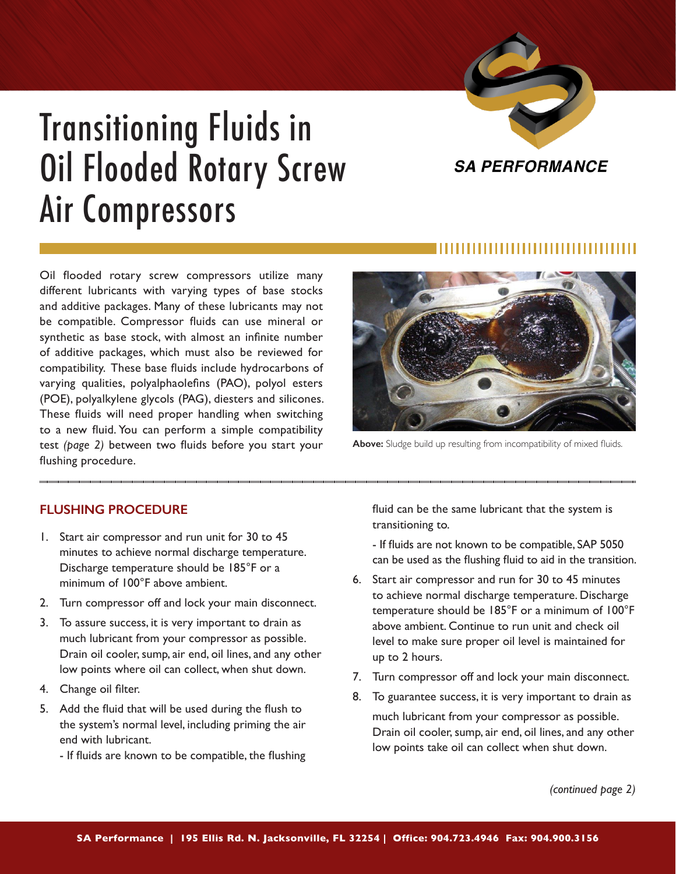

## Transitioning Fluids in Oil Flooded Rotary Screw Air Compressors



**Above:** Sludge build up resulting from incompatibility of mixed fluids.

Oil flooded rotary screw compressors utilize many different lubricants with varying types of base stocks and additive packages. Many of these lubricants may not be compatible. Compressor fluids can use mineral or synthetic as base stock, with almost an infinite number of additive packages, which must also be reviewed for compatibility. These base fluids include hydrocarbons of varying qualities, polyalphaolefins (PAO), polyol esters (POE), polyalkylene glycols (PAG), diesters and silicones. These fluids will need proper handling when switching to a new fluid. You can perform a simple compatibility test *(page 2)* between two fluids before you start your flushing procedure.

## **FLUSHING PROCEDURE**

- 1. Start air compressor and run unit for 30 to 45 minutes to achieve normal discharge temperature. Discharge temperature should be 185°F or a minimum of 100°F above ambient.
- 2. Turn compressor off and lock your main disconnect.
- 3. To assure success, it is very important to drain as much lubricant from your compressor as possible. Drain oil cooler, sump, air end, oil lines, and any other low points where oil can collect, when shut down.
- 4. Change oil filter.
- 5. Add the fluid that will be used during the flush to the system's normal level, including priming the air end with lubricant.
	- If fluids are known to be compatible, the flushing

fluid can be the same lubricant that the system is transitioning to.

- If fluids are not known to be compatible, SAP 5050 can be used as the flushing fluid to aid in the transition.

- 6. Start air compressor and run for 30 to 45 minutes to achieve normal discharge temperature. Discharge temperature should be 185°F or a minimum of 100°F above ambient. Continue to run unit and check oil level to make sure proper oil level is maintained for up to 2 hours.
- 7. Turn compressor off and lock your main disconnect.
- 8. To guarantee success, it is very important to drain as much lubricant from your compressor as possible. Drain oil cooler, sump, air end, oil lines, and any other low points take oil can collect when shut down.

*(continued page 2)*